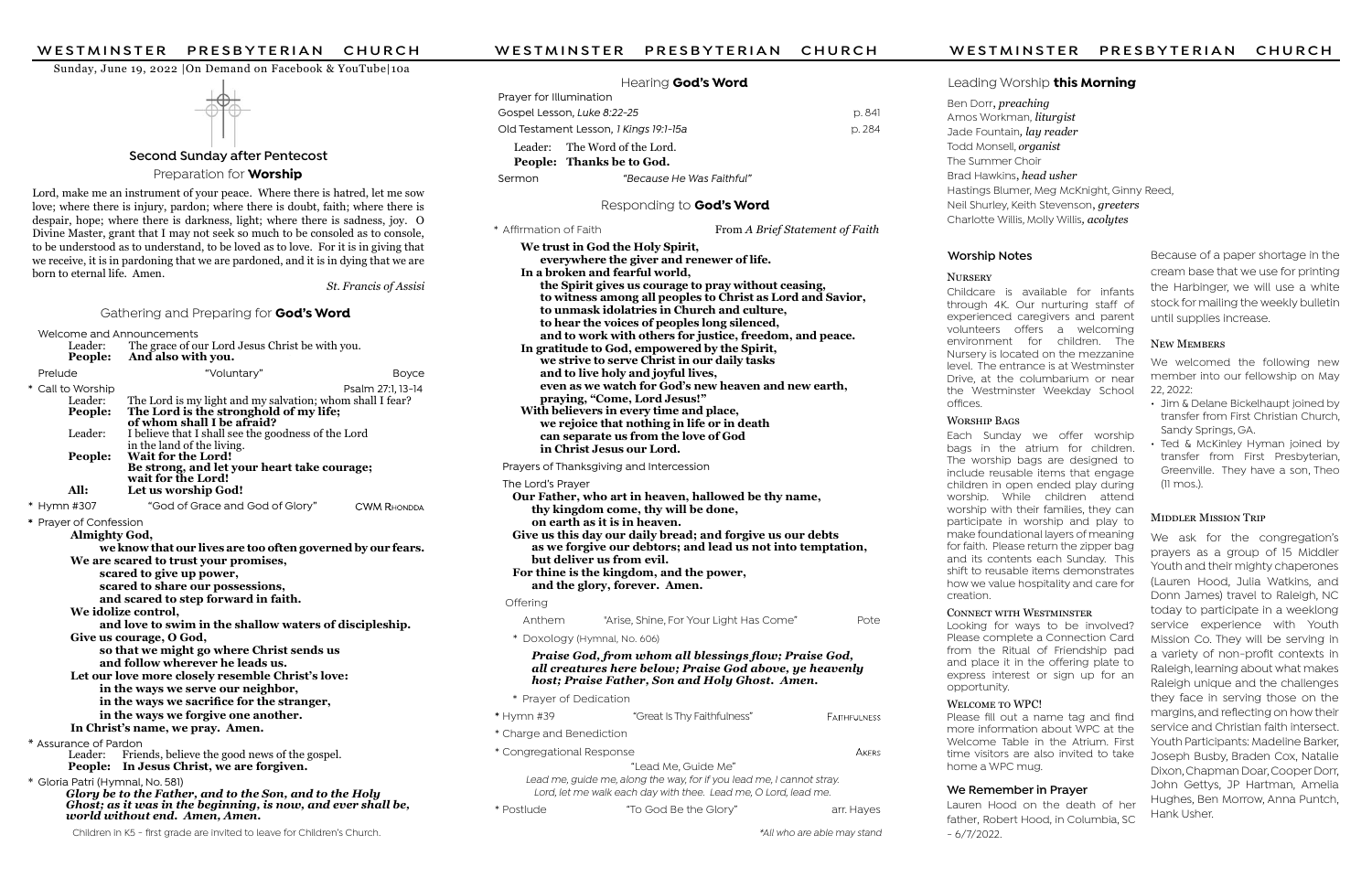| PRESBYTERIAN CHURCH                                                                                                                                             | WESTMINSTER<br>PRESBYTERIAN<br><b>CHURCH</b>                                                                       | WESTMINSTER                                                                  | PRESBYTERIAN<br><b>CHURCH</b>                                                 |  |
|-----------------------------------------------------------------------------------------------------------------------------------------------------------------|--------------------------------------------------------------------------------------------------------------------|------------------------------------------------------------------------------|-------------------------------------------------------------------------------|--|
| WESTMINSTER                                                                                                                                                     |                                                                                                                    |                                                                              |                                                                               |  |
| Sunday, June 19, 2022   On Demand on Facebook & YouTube 10a                                                                                                     | Hearing God's Word                                                                                                 | Leading Worship this Morning                                                 |                                                                               |  |
|                                                                                                                                                                 | Prayer for Illumination                                                                                            |                                                                              |                                                                               |  |
|                                                                                                                                                                 | Gospel Lesson, Luke 8:22-25<br>p. 841                                                                              | Ben Dorr, preaching                                                          | Amos Workman, <i>liturgist</i>                                                |  |
|                                                                                                                                                                 | Old Testament Lesson, 1 Kings 19:1-15a<br>p. 284                                                                   |                                                                              | Jade Fountain, lay reader                                                     |  |
|                                                                                                                                                                 | Leader: The Word of the Lord                                                                                       | Todd Monsell, organist                                                       |                                                                               |  |
| <b>Second Sunday after Pentecost</b>                                                                                                                            | People: Thanks be to God.                                                                                          | The Summer Choir                                                             |                                                                               |  |
| Preparation for <b>Worship</b>                                                                                                                                  | "Because He Was Faithful"<br>Sermon                                                                                | Brad Hawkins, head usher                                                     |                                                                               |  |
| Lord, make me an instrument of your peace. Where there is hatred, let me sow                                                                                    |                                                                                                                    |                                                                              | Hastings Blumer, Meg McKnight, Ginny Reed,                                    |  |
| love; where there is injury, pardon; where there is doubt, faith; where there is                                                                                | Responding to God's Word                                                                                           | Neil Shurley, Keith Stevenson, greeters                                      |                                                                               |  |
| despair, hope; where there is darkness, light; where there is sadness, joy. O<br>Divine Master, grant that I may not seek so much to be consoled as to console, | From A Brief Statement of Faith<br>* Affirmation of Faith                                                          | Charlotte Willis, Molly Willis, acolytes                                     |                                                                               |  |
| to be understood as to understand, to be loved as to love. For it is in giving that                                                                             | We trust in God the Holy Spirit,                                                                                   |                                                                              |                                                                               |  |
| we receive, it is in pardoning that we are pardoned, and it is in dying that we are                                                                             | everywhere the giver and renewer of life.                                                                          | <b>Worship Notes</b>                                                         | Because of a paper shortage in the                                            |  |
| born to eternal life. Amen.                                                                                                                                     | In a broken and fearful world,                                                                                     | <b>NURSERY</b>                                                               | cream base that we use for printing                                           |  |
| St. Francis of Assisi                                                                                                                                           | the Spirit gives us courage to pray without ceasing,<br>to witness among all peoples to Christ as Lord and Savior, | Childcare is available for infants                                           | the Harbinger, we will use a white                                            |  |
| Gathering and Preparing for God's Word                                                                                                                          | to unmask idolatries in Church and culture,                                                                        | through 4K. Our nurturing staff of<br>experienced caregivers and parent      | stock for mailing the weekly bulletin                                         |  |
| Welcome and Announcements                                                                                                                                       | to hear the voices of peoples long silenced,                                                                       | volunteers offers a welcoming                                                | until supplies increase.                                                      |  |
| The grace of our Lord Jesus Christ be with you.<br>Leader:                                                                                                      | and to work with others for justice, freedom, and peace.<br>In gratitude to God, empowered by the Spirit,          | environment for children. The                                                | <b>NEW MEMBERS</b>                                                            |  |
| And also with you.<br><b>People:</b>                                                                                                                            | we strive to serve Christ in our daily tasks                                                                       | Nursery is located on the mezzanine<br>level. The entrance is at Westminster | We welcomed the following new                                                 |  |
| "Voluntary"<br><b>Boyce</b><br>Prelude                                                                                                                          | and to live holy and joyful lives,                                                                                 | Drive, at the columbarium or near                                            | member into our fellowship on May                                             |  |
| * Call to Worship<br>Psalm 27:1, 13-14<br>The Lord is my light and my salvation; whom shall I fear?<br>Leader:                                                  | even as we watch for God's new heaven and new earth,<br>praying, "Come, Lord Jesus!"                               | the Westminster Weekday School                                               | 22, 2022:                                                                     |  |
| The Lord is the stronghold of my life;<br>People:                                                                                                               | With believers in every time and place,                                                                            | offices.                                                                     | · Jim & Delane Bickelhaupt joined by<br>transfer from First Christian Church, |  |
| of whom shall I be afraid?<br>I believe that I shall see the goodness of the Lord<br>Leader:                                                                    | we rejoice that nothing in life or in death                                                                        | <b>WORSHIP BAGS</b><br>Each Sunday we offer worship                          | Sandy Springs, GA.                                                            |  |
| in the land of the living.                                                                                                                                      | can separate us from the love of God<br>in Christ Jesus our Lord.                                                  | bags in the atrium for children.                                             | • Ted & McKinley Hyman joined by                                              |  |
| Wait for the Lord!<br>People:<br>Be strong, and let your heart take courage;                                                                                    | Prayers of Thanksgiving and Intercession                                                                           | The worship bags are designed to                                             | transfer from First Presbyterian,                                             |  |
| wait for the Lord!                                                                                                                                              | The Lord's Prayer                                                                                                  | include reusable items that engage<br>children in open ended play during     | Greenville. They have a son, Theo<br>(11 mos.).                               |  |
| All:<br>Let us worship God!                                                                                                                                     | Our Father, who art in heaven, hallowed be thy name,                                                               | worship. While children attend                                               |                                                                               |  |
| * Hymn #307<br>"God of Grace and God of Glory"<br><b>CWM RHONDDA</b>                                                                                            | thy kingdom come, thy will be done,                                                                                | worship with their families, they can                                        | <b>MIDDLER MISSION TRIP</b>                                                   |  |
| * Prayer of Confession<br><b>Almighty God,</b>                                                                                                                  | on earth as it is in heaven.<br>Give us this day our daily bread; and forgive us our debts                         | participate in worship and play to<br>make foundational layers of meaning    |                                                                               |  |
| we know that our lives are too often governed by our fears.                                                                                                     | as we forgive our debtors; and lead us not into temptation,                                                        | for faith. Please return the zipper bag                                      | We ask for the congregation's<br>prayers as a group of 15 Middler             |  |
| We are scared to trust your promises,                                                                                                                           | but deliver us from evil.                                                                                          | and its contents each Sunday. This<br>shift to reusable items demonstrates   | Youth and their mighty chaperones                                             |  |
| scared to give up power,<br>scared to share our possessions,                                                                                                    | For thine is the kingdom, and the power,<br>and the glory, forever. Amen.                                          | how we value hospitality and care for                                        | (Lauren Hood, Julia Watkins, and                                              |  |
| and scared to step forward in faith.                                                                                                                            | Offering                                                                                                           | creation.                                                                    | Donn James) travel to Raleigh, NC                                             |  |
| We idolize control,                                                                                                                                             | "Arise, Shine, For Your Light Has Come"<br>Pote<br>Anthem                                                          | <b>CONNECT WITH WESTMINSTER</b>                                              | today to participate in a weeklong                                            |  |
| and love to swim in the shallow waters of discipleship.<br>Give us courage, O God,                                                                              | * Doxology (Hymnal, No. 606)                                                                                       | Looking for ways to be involved?<br>Please complete a Connection Card        | service experience with Youth                                                 |  |
| so that we might go where Christ sends us                                                                                                                       |                                                                                                                    | from the Ritual of Friendship pad                                            | Mission Co. They will be serving in<br>a variety of non-profit contexts in    |  |
| and follow wherever he leads us.                                                                                                                                | Praise God, from whom all blessings flow; Praise God,<br>all creatures here below; Praise God above, ye heavenly   | and place it in the offering plate to                                        | Raleigh, learning about what makes                                            |  |
| Let our love more closely resemble Christ's love:                                                                                                               | host; Praise Father, Son and Holy Ghost. Amen.                                                                     | express interest or sign up for an<br>opportunity.                           | Raleigh unique and the challenges                                             |  |
| in the ways we serve our neighbor,<br>in the ways we sacrifice for the stranger,                                                                                | * Prayer of Dedication                                                                                             | WELCOME TO WPC!                                                              | they face in serving those on the                                             |  |
| in the ways we forgive one another.                                                                                                                             | "Great Is Thy Faithfulness"<br>* Hymn #39<br>FAITHFULNESS                                                          | Please fill out a name tag and find                                          | margins, and reflecting on how their                                          |  |
| In Christ's name, we pray. Amen.                                                                                                                                | * Charge and Benediction                                                                                           | more information about WPC at the                                            | service and Christian faith intersect.                                        |  |
| * Assurance of Pardon<br>Leader: Friends, believe the good news of the gospel.                                                                                  | * Congregational Response<br>AKERS                                                                                 | Welcome Table in the Atrium. First<br>time visitors are also invited to take | Youth Participants: Madeline Barker,<br>Joseph Busby, Braden Cox, Natalie     |  |
| People: In Jesus Christ, we are forgiven.                                                                                                                       | "Lead Me, Guide Me"                                                                                                | home a WPC mug.                                                              | Dixon, Chapman Doar, Cooper Dorr,                                             |  |
| * Gloria Patri (Hymnal, No. 581)                                                                                                                                | Lead me, guide me, along the way, for if you lead me, I cannot stray.                                              |                                                                              | John Gettys, JP Hartman, Amelia                                               |  |
| Glory be to the Father, and to the Son, and to the Holy<br>Ghost; as it was in the beginning, is now, and ever shall be,                                        | Lord, let me walk each day with thee. Lead me, O Lord, lead me.                                                    | We Remember in Prayer<br>Lauren Hood on the death of her                     | Hughes, Ben Morrow, Anna Puntch,                                              |  |
| world without end. Amen, Amen.                                                                                                                                  | * Postlude<br>"To God Be the Glory"<br>arr. Hayes                                                                  | father, Robert Hood, in Columbia, SC                                         | Hank Usher.                                                                   |  |
| Children in K5 - first grade are invited to leave for Children's Church.                                                                                        | *All who are able may stand                                                                                        | $-6/7/2022$ .                                                                |                                                                               |  |

## ng Worship **this Morning**

### ip Notes

### P BAGS

### CT WITH WESTMINSTER

### **ME TO WPC!**

### member in Prayer

- Jim & Delane Bickelhaupt joined by transfer from First Christian Church, Sandy Springs, GA.
- Ted & McKinley Hyman joined by transfer from First Presbyterian, Greenville. They have a son, Theo (11 mos.).

### **MIDDLER MISSION TRIP**

### NEW MEMBERS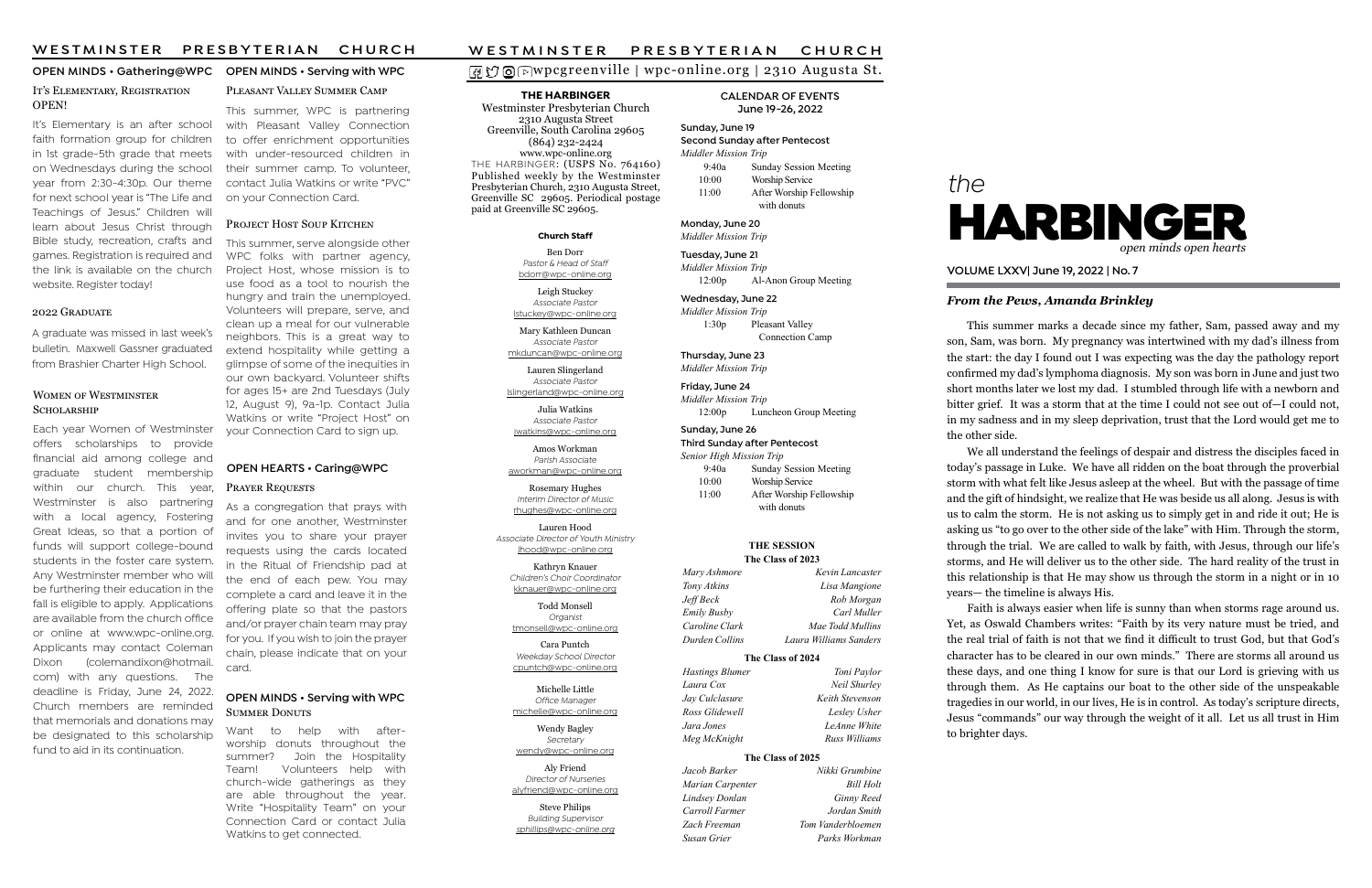### wpcgreenville | wpc-online.org | 2310 Augusta St.

# the



### From the Pews, Amanda Brinkley

VOLUME LXXV| June 19, 2022 | No. 7

### THE HARBINGER

Westminster Presbyterian Church 2310 Augusta Street Greenville, South Carolina 29605 (864) 232-2424 www.wpc-online.org THE HARBINGER: (USPS No. 764160) Published weekly by the Westminster Presbyterian Church, 2310 Augusta Street, Greenville SC 29605. Periodical postage paid at Greenville SC 29605.

CALENDAR OF EVENTS June 19-26, 2022

### OPEN MINDS • Gathering@WPC OPEN MINDS • Serving with WPC IT'S ELEMENTARY, REGISTRATION

Sunday, June 19 Second Sunday after Pentecost Middler Mission Trip 9:40a Sunday Session Meeting 10:00 Worship Service 11:00 After Worship Fellowship with donuts

Monday, June 20 Middler Mission Trip

Tuesday, June 21 Middler Mission Trip 12:00p Al-Anon Group Meeting

Wednesday, June 22 Middler Mission Trip 1:30p Pleasant Valley Connection Camp

Thursday, June 23 Middler Mission Trip

Friday, June 24 Middler Mission Trip 12:00p Luncheon Group Meeting

### Sunday, June 26

Third Sunday after Pentecost Senior High Mission Trip 9:40a Sunday Session Meeting 10:00 Worship Service 11:00 After Worship Fellowship with donuts

### Church Staff

Ben Dorr Pastor & Head of Staff bdorr@wpc-online.org

Leigh Stuckey Associate Pastor lstuckey@wpc-online.org

Mary Kathleen Duncan Associate Pastor mkduncan@wpc-online.org

Lauren Slingerland Associate Pastor lslingerland@wpc-online.org

Julia Watkins Associate Pastor jwatkins@wpc-online.org

Amos Workman Parish Associate aworkman@wpc-online.org

Rosemary Hughes Interim Director of Music rhughes@wpc-online.org

It's Elementary is an after school faith formation group for children in 1st grade-5th grade that meets on Wednesdays during the school year from 2:30-4:30p. Our theme for next school year is "The Life and Teachings of Jesus." Children will learn about Jesus Christ through Bible study, recreation, crafts and games. Registration is required and the link is available on the church website. Register today!

### 2022 GRADUATE

Lauren Hood Associate Director of Youth Ministry lhood@wpc-online.org

> Kathryn Knauer Children's Choir Coordinator kknauer@wpc-online.org

Todd Monsell Organist tmonsell@wpc-online.org

Cara Puntch Weekday School Director cpuntch@wpc-online.org

Michelle Little Office Manager michelle@wpc-online.org

> Wendy Bagley Secretary

wendy@wpc-online.org Aly Friend Director of Nurseries

alyfriend@wpc-online.org Steve Philips Building Supervisor

sphillips@wpc-online.org

This summer, serve alongside other WPC folks with partner agency, Project Host, whose mission is to use food as a tool to nourish the hungry and train the unemployed. Volunteers will prepare, serve, and clean up a meal for our vulnerable neighbors. This is a great way to extend hospitality while getting a glimpse of some of the inequities in our own backyard. Volunteer shifts for ages 15+ are 2nd Tuesdays (July 12, August 9), 9a-1p. Contact Julia Watkins or write "Project Host" on your Connection Card to sign up.

This summer, WPC is partnering with Pleasant Valley Connection to offer enrichment opportunities with under-resourced children in their summer camp. To volunteer, contact Julia Watkins or write "PVC" on your Connection Card.

### PROJECT HOST SOUP KITCHEN

# OPEN!

Mary Ashmore Kevin Lancaster Tony Atkins Lisa Mangione Jeff Beck Rob Morgan Emily Busby Carl Muller Caroline Clark Mae Todd Mullins Durden Collins Laura Williams Sanders

Jacob Barker Nikki Grumbine Marian Carpenter Bill Holt Lindsey Donlan Ginny Reed Carroll Farmer Jordan Smith Zach Freeman Tom Vanderbloemen Susan Grier Parks Workman

### OPEN MINDS • Serving with WPC **SUMMER DONUTS**

Each year Women of Westminster offers scholarships to provide financial aid among college and graduate student membership within our church. This year, Westminster is also partnering with a local agency, Fostering Great Ideas, so that a portion of funds will support college-bound students in the foster care system. Any Westminster member who will be furthering their education in the fall is eligible to apply. Applications are available from the church office or online at www.wpc-online.org. Applicants may contact Coleman Dixon (colemandixon@hotmail. com) with any questions. The deadline is Friday, June 24, 2022. Church members are reminded that memorials and donations may be designated to this scholarship fund to aid in its continuation.

# PLEASANT VALLEY SUMMER CAMP

This summer marks a decade since my father, Sam, passed away and my son, Sam, was born. My pregnancy was intertwined with my dad's illness from the start: the day I found out I was expecting was the day the pathology report confirmed my dad's lymphoma diagnosis. My son was born in June and just two short months later we lost my dad. I stumbled through life with a newborn and bitter grief. It was a storm that at the time I could not see out of—I could not, in my sadness and in my sleep deprivation, trust that the Lord would get me to

the other side.

We all understand the feelings of despair and distress the disciples faced in today's passage in Luke. We have all ridden on the boat through the proverbial storm with what felt like Jesus asleep at the wheel. But with the passage of time and the gift of hindsight, we realize that He was beside us all along. Jesus is with us to calm the storm. He is not asking us to simply get in and ride it out; He is asking us "to go over to the other side of the lake" with Him. Through the storm, through the trial. We are called to walk by faith, with Jesus, through our life's storms, and He will deliver us to the other side. The hard reality of the trust in this relationship is that He may show us through the storm in a night or in 10 years— the timeline is always His.

Faith is always easier when life is sunny than when storms rage around us. Yet, as Oswald Chambers writes: "Faith by its very nature must be tried, and the real trial of faith is not that we find it difficult to trust God, but that God's character has to be cleared in our own minds." There are storms all around us these days, and one thing I know for sure is that our Lord is grieving with us through them. As He captains our boat to the other side of the unspeakable tragedies in our world, in our lives, He is in control. As today's scripture directs, Jesus "commands" our way through the weight of it all. Let us all trust in Him to brighter days.

A graduate was missed in last week's bulletin. Maxwell Gassner graduated from Brashier Charter High School.

### WOMEN OF WESTMINSTER SCHOLARSHIP

### THE SESSION The Class of 2023

### The Class of 2024

Hastings Blumer Toni Paylor Laura Cox Neil Shurley Jay Culclasure Keith Stevenson Ross Glidewell **Lesley Usher** Jara Jones LeAnne White Meg McKnight Russ Williams

### The Class of 2025

As a congregation that prays with and for one another, Westminster invites you to share your prayer requests using the cards located in the Ritual of Friendship pad at the end of each pew. You may complete a card and leave it in the offering plate so that the pastors and/or prayer chain team may pray for you. If you wish to join the prayer chain, please indicate that on your card.

### OPEN HEARTS • Caring@WPC

### PRAYER REQUESTS

Want to help with afterworship donuts throughout the summer? Join the Hospitality Team! Volunteers help with church-wide gatherings as they are able throughout the year. Write "Hospitality Team" on your Connection Card or contact Julia Watkins to get connected.

# W E S T M I N S T E R PRESBYTERIAN CHURCH<br> **O** O D W pc g reenville | wpc-online.org | 2310 Augusta St.<br>
THE HARBINGER CALENDAR OF EVENTS